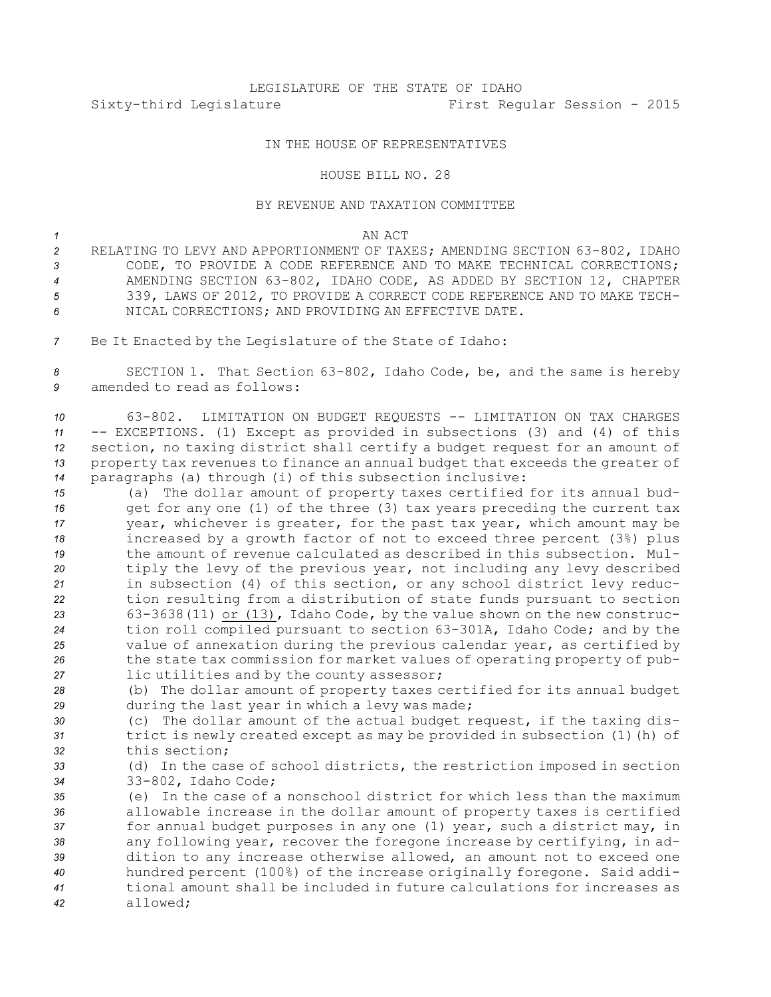## LEGISLATURE OF THE STATE OF IDAHO Sixty-third Legislature First Regular Session - 2015

## IN THE HOUSE OF REPRESENTATIVES

## HOUSE BILL NO. 28

## BY REVENUE AND TAXATION COMMITTEE

- *1* AN ACT
- *<sup>2</sup>* RELATING TO LEVY AND APPORTIONMENT OF TAXES; AMENDING SECTION 63-802, IDAHO *3* CODE, TO PROVIDE A CODE REFERENCE AND TO MAKE TECHNICAL CORRECTIONS; *<sup>4</sup>* AMENDING SECTION 63-802, IDAHO CODE, AS ADDED BY SECTION 12, CHAPTER *<sup>5</sup>* 339, LAWS OF 2012, TO PROVIDE A CORRECT CODE REFERENCE AND TO MAKE TECH-*6* NICAL CORRECTIONS; AND PROVIDING AN EFFECTIVE DATE.
- *<sup>7</sup>* Be It Enacted by the Legislature of the State of Idaho:

*<sup>8</sup>* SECTION 1. That Section 63-802, Idaho Code, be, and the same is hereby *9* amended to read as follows:

 63-802. LIMITATION ON BUDGET REQUESTS -- LIMITATION ON TAX CHARGES -- EXCEPTIONS. (1) Except as provided in subsections (3) and (4) of this section, no taxing district shall certify <sup>a</sup> budget request for an amount of property tax revenues to finance an annual budget that exceeds the greater of paragraphs (a) through (i) of this subsection inclusive:

 (a) The dollar amount of property taxes certified for its annual bud- get for any one (1) of the three (3) tax years preceding the current tax year, whichever is greater, for the past tax year, which amount may be increased by <sup>a</sup> growth factor of not to exceed three percent (3%) plus the amount of revenue calculated as described in this subsection. Mul- tiply the levy of the previous year, not including any levy described in subsection (4) of this section, or any school district levy reduc- tion resulting from <sup>a</sup> distribution of state funds pursuant to section 63-3638(11) or (13), Idaho Code, by the value shown on the new construc- tion roll compiled pursuant to section 63-301A, Idaho Code; and by the value of annexation during the previous calendar year, as certified by the state tax commission for market values of operating property of pub-lic utilities and by the county assessor;

*<sup>28</sup>* (b) The dollar amount of property taxes certified for its annual budget *<sup>29</sup>* during the last year in which <sup>a</sup> levy was made;

- *<sup>30</sup>* (c) The dollar amount of the actual budget request, if the taxing dis-*<sup>31</sup>* trict is newly created except as may be provided in subsection (1)(h) of *32* this section;
- *<sup>33</sup>* (d) In the case of school districts, the restriction imposed in section *<sup>34</sup>* 33-802, Idaho Code;
- *35* (e) In the case of <sup>a</sup> nonschool district for which less than the maximum *<sup>36</sup>* allowable increase in the dollar amount of property taxes is certified *<sup>37</sup>* for annual budget purposes in any one (1) year, such <sup>a</sup> district may, in *<sup>38</sup>* any following year, recover the foregone increase by certifying, in ad-*<sup>39</sup>* dition to any increase otherwise allowed, an amount not to exceed one *<sup>40</sup>* hundred percent (100%) of the increase originally foregone. Said addi-*41* tional amount shall be included in future calculations for increases as *42* allowed;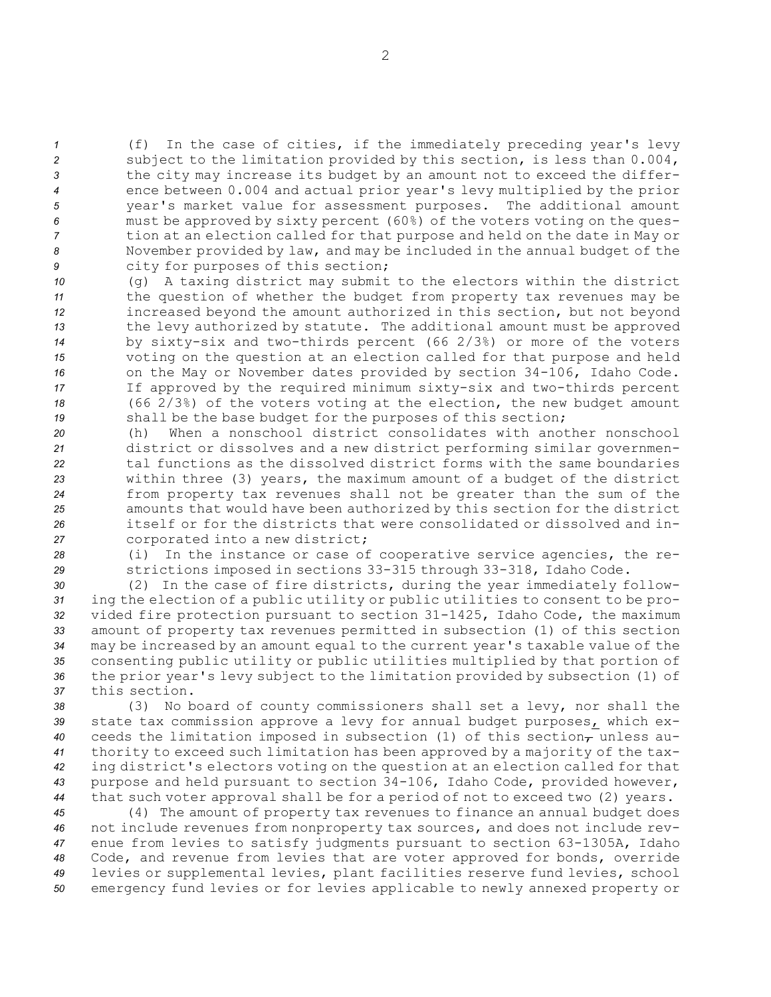(f) In the case of cities, if the immediately preceding year's levy subject to the limitation provided by this section, is less than 0.004, the city may increase its budget by an amount not to exceed the differ- ence between 0.004 and actual prior year's levy multiplied by the prior year's market value for assessment purposes. The additional amount must be approved by sixty percent (60%) of the voters voting on the ques- tion at an election called for that purpose and held on the date in May or November provided by law, and may be included in the annual budget of the city for purposes of this section;

 (g) <sup>A</sup> taxing district may submit to the electors within the district the question of whether the budget from property tax revenues may be increased beyond the amount authorized in this section, but not beyond the levy authorized by statute. The additional amount must be approved by sixty-six and two-thirds percent (66 2/3%) or more of the voters voting on the question at an election called for that purpose and held on the May or November dates provided by section 34-106, Idaho Code. If approved by the required minimum sixty-six and two-thirds percent (66 2/3%) of the voters voting at the election, the new budget amount shall be the base budget for the purposes of this section;

 (h) When <sup>a</sup> nonschool district consolidates with another nonschool district or dissolves and <sup>a</sup> new district performing similar governmen- tal functions as the dissolved district forms with the same boundaries within three (3) years, the maximum amount of <sup>a</sup> budget of the district from property tax revenues shall not be greater than the sum of the amounts that would have been authorized by this section for the district itself or for the districts that were consolidated or dissolved and in-corporated into <sup>a</sup> new district;

*<sup>28</sup>* (i) In the instance or case of cooperative service agencies, the re-*<sup>29</sup>* strictions imposed in sections 33-315 through 33-318, Idaho Code.

 (2) In the case of fire districts, during the year immediately follow- ing the election of <sup>a</sup> public utility or public utilities to consent to be pro- vided fire protection pursuant to section 31-1425, Idaho Code, the maximum amount of property tax revenues permitted in subsection (1) of this section may be increased by an amount equal to the current year's taxable value of the consenting public utility or public utilities multiplied by that portion of the prior year's levy subject to the limitation provided by subsection (1) of this section.

 (3) No board of county commissioners shall set <sup>a</sup> levy, nor shall the state tax commission approve <sup>a</sup> levy for annual budget purposes, which ex-40 ceeds the limitation imposed in subsection (1) of this section<sub>7</sub> unless au- thority to exceed such limitation has been approved by <sup>a</sup> majority of the tax- ing district's electors voting on the question at an election called for that purpose and held pursuant to section 34-106, Idaho Code, provided however, that such voter approval shall be for <sup>a</sup> period of not to exceed two (2) years.

 (4) The amount of property tax revenues to finance an annual budget does not include revenues from nonproperty tax sources, and does not include rev- enue from levies to satisfy judgments pursuant to section 63-1305A, Idaho Code, and revenue from levies that are voter approved for bonds, override levies or supplemental levies, plant facilities reserve fund levies, school emergency fund levies or for levies applicable to newly annexed property or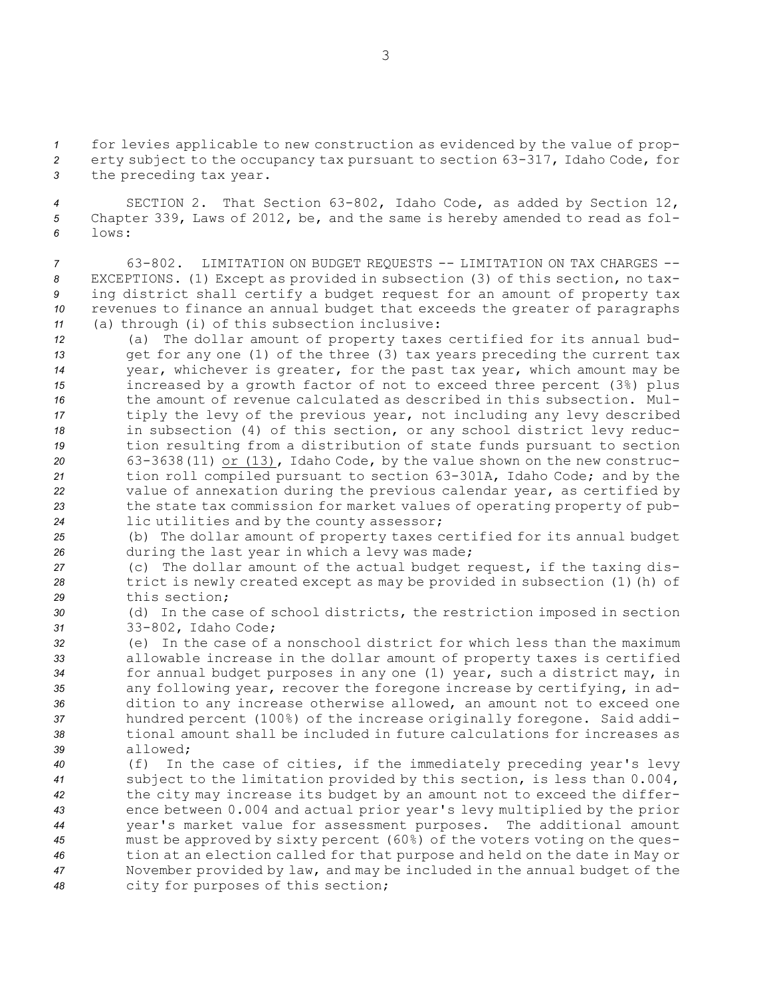*<sup>1</sup>* for levies applicable to new construction as evidenced by the value of prop-*<sup>2</sup>* erty subject to the occupancy tax pursuant to section 63-317, Idaho Code, for *<sup>3</sup>* the preceding tax year.

*<sup>4</sup>* SECTION 2. That Section 63-802, Idaho Code, as added by Section 12, *<sup>5</sup>* Chapter 339, Laws of 2012, be, and the same is hereby amended to read as fol-*6* lows:

 63-802. LIMITATION ON BUDGET REQUESTS -- LIMITATION ON TAX CHARGES -- EXCEPTIONS. (1) Except as provided in subsection (3) of this section, no tax- ing district shall certify <sup>a</sup> budget request for an amount of property tax revenues to finance an annual budget that exceeds the greater of paragraphs (a) through (i) of this subsection inclusive:

 (a) The dollar amount of property taxes certified for its annual bud- get for any one (1) of the three (3) tax years preceding the current tax year, whichever is greater, for the past tax year, which amount may be increased by <sup>a</sup> growth factor of not to exceed three percent (3%) plus the amount of revenue calculated as described in this subsection. Mul- tiply the levy of the previous year, not including any levy described in subsection (4) of this section, or any school district levy reduc- tion resulting from <sup>a</sup> distribution of state funds pursuant to section 63-3638(11) or (13), Idaho Code, by the value shown on the new construc- tion roll compiled pursuant to section 63-301A, Idaho Code; and by the value of annexation during the previous calendar year, as certified by the state tax commission for market values of operating property of pub-lic utilities and by the county assessor;

*<sup>25</sup>* (b) The dollar amount of property taxes certified for its annual budget *<sup>26</sup>* during the last year in which <sup>a</sup> levy was made;

*<sup>27</sup>* (c) The dollar amount of the actual budget request, if the taxing dis-*<sup>28</sup>* trict is newly created except as may be provided in subsection (1)(h) of *29* this section;

*<sup>30</sup>* (d) In the case of school districts, the restriction imposed in section *<sup>31</sup>* 33-802, Idaho Code;

 (e) In the case of <sup>a</sup> nonschool district for which less than the maximum allowable increase in the dollar amount of property taxes is certified for annual budget purposes in any one (1) year, such <sup>a</sup> district may, in any following year, recover the foregone increase by certifying, in ad- dition to any increase otherwise allowed, an amount not to exceed one hundred percent (100%) of the increase originally foregone. Said addi- tional amount shall be included in future calculations for increases as *39* allowed;

 (f) In the case of cities, if the immediately preceding year's levy subject to the limitation provided by this section, is less than 0.004, the city may increase its budget by an amount not to exceed the differ- ence between 0.004 and actual prior year's levy multiplied by the prior year's market value for assessment purposes. The additional amount must be approved by sixty percent (60%) of the voters voting on the ques- tion at an election called for that purpose and held on the date in May or November provided by law, and may be included in the annual budget of the city for purposes of this section;